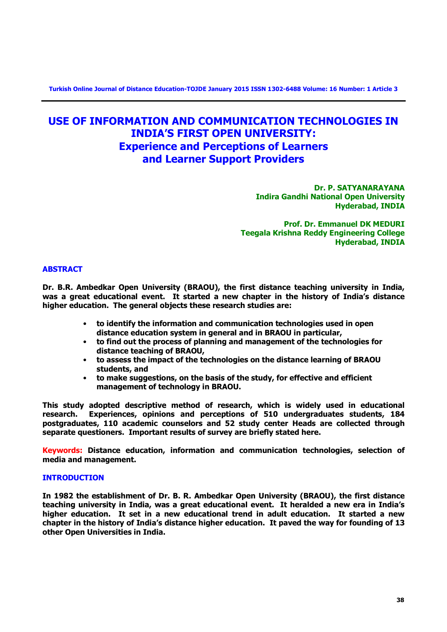**Turkish Online Journal of Distance Education-TOJDE January 2015 ISSN 1302-6488 Volume: 16 Number: 1 Article 3**

# **USE OF INFORMATION AND COMMUNICATION TECHNOLOGIES IN INDIA'S FIRST OPEN UNIVERSITY: Experience and Perceptions of Learners and Learner Support Providers**

**Dr. P. SATYANARAYANA Indira Gandhi National Open University Hyderabad, INDIA**

**Prof. Dr. Emmanuel DK MEDURI Teegala Krishna Reddy Engineering College Hyderabad, INDIA**

# **ABSTRACT**

**Dr. B.R. Ambedkar Open University (BRAOU), the first distance teaching university in India, was a great educational event. It started a new chapter in the history of India's distance higher education. The general objects these research studies are:**

- **to identify the information and communication technologies used in open distance education system in general and in BRAOU in particular,**
- **to find out the process of planning and management of the technologies for distance teaching of BRAOU,**
- **to assess the impact of the technologies on the distance learning of BRAOU students, and**
- **to make suggestions, on the basis of the study, for effective and efficient management of technology in BRAOU.**

**This study adopted descriptive method of research, which is widely used in educational research. Experiences, opinions and perceptions of 510 undergraduates students, 184 postgraduates, 110 academic counselors and 52 study center Heads are collected through separate questioners. Important results of survey are briefly stated here.** 

**Keywords: Distance education, information and communication technologies, selection of media and management.** 

# **INTRODUCTION**

**In 1982 the establishment of Dr. B. R. Ambedkar Open University (BRAOU), the first distance teaching university in India, was a great educational event. It heralded a new era in India's higher education. It set in a new educational trend in adult education. It started a new chapter in the history of India's distance higher education. It paved the way for founding of 13 other Open Universities in India.**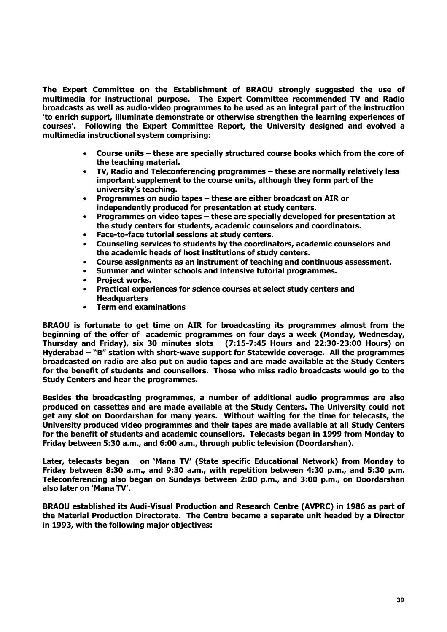**The Expert Committee on the Establishment of BRAOU strongly suggested the use of multimedia for instructional purpose. The Expert Committee recommended TV and Radio broadcasts as well as audio-video programmes to be used as an integral part of the instruction 'to enrich support, illuminate demonstrate or otherwise strengthen the learning experiences of courses'. Following the Expert Committee Report, the University designed and evolved a multimedia instructional system comprising:**

- **Course units – these are specially structured course books which from the core of the teaching material.**
- **TV, Radio and Teleconferencing programmes – these are normally relatively less important supplement to the course units, although they form part of the university's teaching.**
- **Programmes on audio tapes – these are either broadcast on AIR or independently produced for presentation at study centers.**
- **Programmes on video tapes – these are specially developed for presentation at the study centers for students, academic counselors and coordinators.**
- **Face-to-face tutorial sessions at study centers.**
- **Counseling services to students by the coordinators, academic counselors and the academic heads of host institutions of study centers.**
- **Course assignments as an instrument of teaching and continuous assessment.**
- **Summer and winter schools and intensive tutorial programmes.**
- **Project works.**
- **Practical experiences for science courses at select study centers and Headquarters**
- **Term end examinations**

**BRAOU is fortunate to get time on AIR for broadcasting its programmes almost from the beginning of the offer of academic programmes on four days a week (Monday, Wednesday, Thursday and Friday), six 30 minutes slots (7:15-7:45 Hours and 22:30-23:00 Hours) on Hyderabad – "B" station with short-wave support for Statewide coverage. All the programmes broadcasted on radio are also put on audio tapes and are made available at the Study Centers for the benefit of students and counsellors. Those who miss radio broadcasts would go to the Study Centers and hear the programmes.** 

**Besides the broadcasting programmes, a number of additional audio programmes are also produced on cassettes and are made available at the Study Centers. The University could not get any slot on Doordarshan for many years. Without waiting for the time for telecasts, the University produced video programmes and their tapes are made available at all Study Centers for the benefit of students and academic counsellors. Telecasts began in 1999 from Monday to Friday between 5:30 a.m., and 6:00 a.m., through public television (Doordarshan).** 

**Later, telecasts began on 'Mana TV' (State specific Educational Network) from Monday to Friday between 8:30 a.m., and 9:30 a.m., with repetition between 4:30 p.m., and 5:30 p.m. Teleconferencing also began on Sundays between 2:00 p.m., and 3:00 p.m., on Doordarshan also later on 'Mana TV'.** 

**BRAOU established its Audi-Visual Production and Research Centre (AVPRC) in 1986 as part of the Material Production Directorate. The Centre became a separate unit headed by a Director in 1993, with the following major objectives:**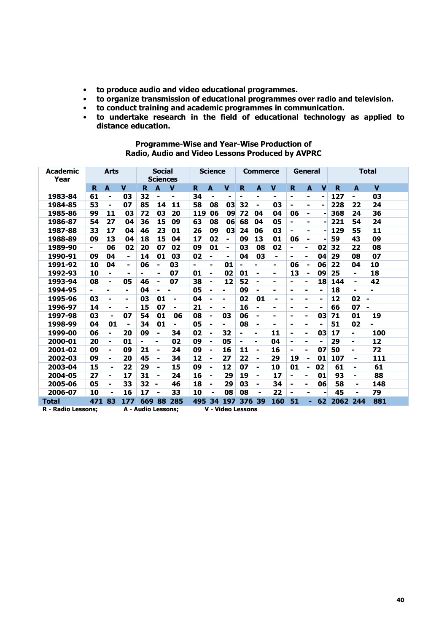- **to produce audio and video educational programmes.**
- **to organize transmission of educational programmes over radio and television.**
- **to conduct training and academic programmes in communication.**
- **to undertake research in the field of educational technology as applied to distance education.**

| Academic<br>Year          |     | <b>Arts</b>              |                |                           | <b>Social</b><br><b>Sciences</b> |                |     | <b>Science</b> |                                |     | <b>Commerce</b>         |                |    | General                 |                |      | <b>Total</b>             |             |
|---------------------------|-----|--------------------------|----------------|---------------------------|----------------------------------|----------------|-----|----------------|--------------------------------|-----|-------------------------|----------------|----|-------------------------|----------------|------|--------------------------|-------------|
|                           | R.  | A                        | $\mathbf v$    | R                         | $\mathbf{A}$                     | $\mathbf v$    | R.  | A              | $\mathbf v$                    | R.  | $\overline{\mathbf{A}}$ | V              | R  | $\overline{\mathbf{A}}$ | $\mathbf v$    | R    | A                        | $\mathbf v$ |
| 1983-84                   | 61  | $\blacksquare$           | 03             | 32                        | -                                | ۰              | 34  | $\blacksquare$ | $\blacksquare$                 | Ξ.  | ۰                       | ۰              | -  | ٠                       | -              | 127  |                          | 03          |
| 1984-85                   | 53  | -                        | 07             | 85                        | 14                               | 11             | 58  | 08             | 03                             | 32  | $\blacksquare$          | 03             | Ξ. | $\blacksquare$          |                | 228  | 22                       | 24          |
| 1985-86                   | 99  | 11                       | 03             | 72                        | 03                               | 20             | 119 | 06             | 09                             | 72  | 04                      | 04             | 06 | $\blacksquare$          |                | 368  | 24                       | 36          |
| 1986-87                   | 54  | 27                       | 04             | 36                        | 15                               | 09             | 63  | 08             | 06                             | 68  | 04                      | 05             | Ξ. | ۰                       |                | 221  | 54                       | 24          |
| 1987-88                   | 33  | 17                       | 04             | 46                        | 23                               | 01             | 26  | 09             | 03                             | 24  | 06                      | 03             |    | ٠                       |                | 129  | 55                       | 11          |
| 1988-89                   | 09  | 13                       | 04             | 18                        | 15                               | 04             | 17  | 02             | Ξ.                             | 09  | 13                      | 01             | 06 | $\blacksquare$          |                | 59   | 43                       | 09          |
| 1989-90                   | ٠   | 06                       | 02             | 20                        | 07                               | 02             | 09  | 01             | -                              | 03  | 08                      | 02             | ۰  | -                       | 02             | 32   | 22                       | 08          |
| 1990-91                   | 09  | 04                       | $\blacksquare$ | 14                        | 01                               | 03             | 02  | ۰              | ٠                              | 04  | 03                      | ۰              | ۰  | Ξ.                      | 04             | 29   | 08                       | 07          |
| 1991-92                   | 10  | 04                       | Ξ.             | 06                        | -                                | 03             | ۰   | $\blacksquare$ | 01                             |     | ۰                       | ۰              | 06 | $\blacksquare$          | 06             | 22   | 04                       | 10          |
| 1992-93                   | 10  | ۰                        | $\blacksquare$ | ۰                         | ۰                                | 07             | 01  | $\blacksquare$ | 02                             | 01  | $\blacksquare$          | ۰              | 13 | $\blacksquare$          | 09             | 25   | ۰                        | 18          |
| 1993-94                   | 08  | ۰                        | 05             | 46                        | $\overline{\phantom{0}}$         | 07             | 38  | ۰              | 12                             | 52  | $\blacksquare$          | $\blacksquare$ | ۰  | $\blacksquare$          | 18             | 144  | ٠                        | 42          |
| 1994-95                   | ٠   | Ξ.                       | ۰              | 04                        | ٠                                |                | 05  | Ξ.             | $\blacksquare$                 | 09  | ٠                       | ÷              | ۰  | Ξ.                      | Ξ.             | 18   | ۰                        | ۰           |
| 1995-96                   | 03  | $\blacksquare$           | ۰              | 03                        | 01                               | $\blacksquare$ | 04  | $\blacksquare$ | ۰                              | 02  | 01                      | $\blacksquare$ | ۰  | Ξ.                      | $\blacksquare$ | 12   | 02<br>$\blacksquare$     |             |
| 1996-97                   | 14  | -                        | ۰              | 15                        | 07                               | -              | 21  |                | Ξ.                             | 16  | $\blacksquare$          | ۰              | ۰  |                         |                | 66   | 07                       |             |
| 1997-98                   | 03  | $\blacksquare$           | 07             | 54                        | 01                               | 06             | 08  | ۰              | 03                             | 06  | $\overline{a}$          | $\blacksquare$ | ۰  | Ξ.                      | 03             | 71   | 01                       | 19          |
| 1998-99                   | 04  | 01                       | $\blacksquare$ | 34                        | 01                               | -              | 05  | $\blacksquare$ | ۰                              | 08  | $\blacksquare$          | ۰              | ۰  | ۰                       | ۰              | 51   | 02                       | Ē,          |
| 1999-00                   | 06  | Ξ.                       | 20             | 09                        | ۰                                | 34             | 02  | ۰              | 32                             |     | ۰                       | 11             | Ξ. | ۰                       | 03             | 17   |                          | 100         |
| 2000-01                   | 20  | $\blacksquare$           | 01             |                           | ۰                                | 02             | 09  | ۰              | 05                             | ۰   | ۰                       | 04             | ۰  | ۰                       | ۰              | 29   | $\overline{\phantom{0}}$ | 12          |
| 2001-02                   | 09  | $\overline{\phantom{0}}$ | 09             | 21                        | ۰                                | 24             | 09  |                | 16                             | 11  | ۰                       | 16             | Ξ. | ۰                       | 07             | 50   | ۰                        | 72          |
| 2002-03                   | 09  | ٠                        | 20             | 45                        | ٠                                | 34             | 12  | -              | 27                             | 22  | $\blacksquare$          | 29             | 19 | $\overline{a}$          | 01             | 107  | ٠                        | 111         |
| 2003-04                   | 15  | $\blacksquare$           | 22             | 29                        | -                                | 15             | 09  | -              | 12                             | 07  | ۰                       | 10             | 01 | $\blacksquare$          | 02             | 61   | ۰                        | 61          |
| 2004-05                   | 27  | $\blacksquare$           | 17             | 31                        | $\blacksquare$                   | 24             | 16  | -              | 29                             | 19  | ۰                       | 17             |    |                         | 01             | 93   | ۰                        | 88          |
| 2005-06                   | 05  | Ξ.                       | 33             | 32                        | ۰                                | 46             | 18  | ۰              | 29                             | 03  | ۰                       | 34             | ۰  | ۰                       | 06             | 58   | ٠                        | 148         |
| 2006-07                   | 10  | ۰                        | 16             | 17                        | -                                | 33             | 10  | -              | 08                             | 08  | ۰                       | 22             |    | ۰                       |                | 45   | ۰                        | 79          |
| <b>Total</b>              | 471 | 83                       | 177            | 669                       | 88                               | 285            | 495 | 34             | 197                            | 376 | 39                      | 160            | 51 |                         | 62             | 2062 | 244                      | 881         |
| <b>R</b> - Radio Lessons: |     |                          |                | <b>A - Audio Lessons:</b> |                                  |                |     |                | $\overline{V}$ - Video Lessons |     |                         |                |    |                         |                |      |                          |             |

### **Programme-Wise and Year-Wise Production of Radio, Audio and Video Lessons Produced by AVPRC**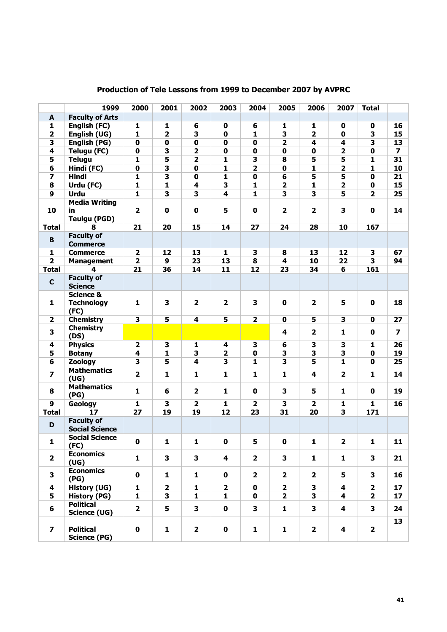|                         | 1999                                               | 2000                    | 2001                    | 2002                    | 2003                    | 2004                    | 2005                    | 2006                    | 2007                    | <b>Total</b>            |                         |
|-------------------------|----------------------------------------------------|-------------------------|-------------------------|-------------------------|-------------------------|-------------------------|-------------------------|-------------------------|-------------------------|-------------------------|-------------------------|
| $\blacktriangle$        | <b>Faculty of Arts</b>                             |                         |                         |                         |                         |                         |                         |                         |                         |                         |                         |
| 1                       | English (FC)                                       | $\mathbf{1}$            | 1                       | 6                       | $\mathbf 0$             | 6                       | 1                       | 1                       | $\mathbf 0$             | $\mathbf 0$             | 16                      |
| $\overline{\mathbf{2}}$ | English (UG)                                       | $\overline{\mathbf{1}}$ | $\overline{2}$          | $\overline{\mathbf{3}}$ | $\mathbf 0$             | $\overline{\mathbf{1}}$ | $\overline{\mathbf{3}}$ | $\overline{2}$          | $\mathbf 0$             | $\overline{\mathbf{3}}$ | 15                      |
| 3                       | English (PG)                                       | $\mathbf 0$             | $\mathbf 0$             | $\mathbf 0$             | $\mathbf 0$             | $\mathbf 0$             | $\overline{\mathbf{2}}$ | $\overline{\mathbf{4}}$ | 4                       | 3                       | 13                      |
| 4                       | <b>Telugu (FC)</b>                                 | $\overline{\mathbf{0}}$ | $\overline{\mathbf{3}}$ | $\overline{\mathbf{2}}$ | $\pmb{0}$               | $\pmb{0}$               | $\overline{\mathbf{0}}$ | $\pmb{0}$               | $\overline{\mathbf{2}}$ | $\mathbf 0$             | $\overline{\mathbf{z}}$ |
| 5                       | <b>Telugu</b>                                      | $\overline{\mathbf{1}}$ | 5                       | $\overline{\mathbf{2}}$ | $\mathbf{1}$            | $\overline{\mathbf{3}}$ | 8                       | 5                       | 5                       | $\mathbf{1}$            | 31                      |
| 6                       | Hindi (FC)                                         | $\mathbf 0$             | 3                       | $\mathbf 0$             | $\mathbf{1}$            | $\overline{\mathbf{2}}$ | $\mathbf 0$             | $\mathbf{1}$            | $\overline{\mathbf{2}}$ | 1                       | 10                      |
| 7                       | <b>Hindi</b>                                       | $\mathbf{1}$            | 3                       | $\mathbf 0$             | $\mathbf{1}$            | $\pmb{0}$               | 6                       | 5                       | 5                       | $\mathbf 0$             | 21                      |
| 8                       | Urdu (FC)                                          | $\overline{\mathbf{1}}$ | $\mathbf{1}$            | $\overline{\mathbf{4}}$ | 3                       | $\mathbf{1}$            | $\overline{\mathbf{2}}$ | 1                       | $\overline{\mathbf{2}}$ | $\mathbf 0$             | 15                      |
| 9                       | <b>Urdu</b>                                        | $\overline{\mathbf{1}}$ | $\overline{\mathbf{3}}$ | $\overline{\mathbf{3}}$ | $\overline{\mathbf{4}}$ | $\overline{\mathbf{1}}$ | $\overline{\mathbf{3}}$ | $\overline{\mathbf{3}}$ | 5                       | $\overline{\mathbf{2}}$ | 25                      |
| 10                      | <b>Media Writing</b><br>in.<br><b>Teulgu (PGD)</b> | $\overline{\mathbf{2}}$ | $\mathbf 0$             | $\mathbf 0$             | 5                       | $\mathbf 0$             | $\overline{\mathbf{2}}$ | $\overline{\mathbf{2}}$ | 3                       | $\mathbf 0$             | 14                      |
| <b>Total</b>            | 8                                                  | 21                      | 20                      | 15                      | 14                      | 27                      | 24                      | 28                      | 10                      | 167                     |                         |
| B                       | <b>Faculty of</b><br><b>Commerce</b>               |                         |                         |                         |                         |                         |                         |                         |                         |                         |                         |
| 1                       | <b>Commerce</b>                                    | $\overline{\mathbf{2}}$ | 12                      | 13                      | 1                       | 3                       | 8                       | 13                      | 12                      | 3                       | 67                      |
| $\overline{2}$          | <b>Management</b>                                  | $\overline{\mathbf{2}}$ | 9                       | 23                      | 13                      | 8                       | 4                       | 10                      | 22                      | $\overline{\mathbf{3}}$ | 94                      |
| <b>Total</b>            | 4                                                  | 21                      | 36                      | 14                      | 11                      | 12                      | 23                      | 34                      | 6                       | 161                     |                         |
| $\mathbf c$             | <b>Faculty of</b><br><b>Science</b>                |                         |                         |                         |                         |                         |                         |                         |                         |                         |                         |
| 1                       | <b>Science &amp;</b><br><b>Technology</b><br>(FC)  | 1                       | 3                       | $\overline{\mathbf{2}}$ | $\overline{\mathbf{2}}$ | 3                       | $\mathbf 0$             | $\overline{\mathbf{2}}$ | 5                       | $\mathbf 0$             | 18                      |
| $\mathbf{2}$            | <b>Chemistry</b>                                   | 3                       | 5                       | 4                       | 5                       | $\mathbf{2}$            | $\mathbf 0$             | 5                       | 3                       | $\mathbf 0$             | 27                      |
| 3                       | <b>Chemistry</b><br>(DS)                           |                         |                         |                         |                         |                         | 4                       | $\overline{\mathbf{2}}$ | 1                       | $\mathbf 0$             | $\overline{\mathbf{z}}$ |
| 4                       | <b>Physics</b>                                     | $\overline{\mathbf{2}}$ | 3                       | 1                       | 4                       | 3                       | $6\overline{6}$         | $\overline{\mathbf{3}}$ | $\overline{\mathbf{3}}$ | 1                       | 26                      |
| 5                       | <b>Botany</b>                                      | 4                       | $\mathbf{1}$            | 3                       | $\mathbf{2}$            | $\mathbf 0$             | 3                       | 3                       | 3                       | $\mathbf 0$             | 19                      |
| 6                       | <b>Zoology</b>                                     | 3                       | 5                       | 4                       | 3                       | $\mathbf{1}$            | 3                       | 5                       | $\mathbf{1}$            | $\mathbf 0$             | 25                      |
| 7                       | <b>Mathematics</b><br>(UG)                         | $\mathbf{2}$            | 1                       | $\mathbf{1}$            | 1                       | $\mathbf{1}$            | $\mathbf{1}$            | 4                       | $\overline{\mathbf{2}}$ | 1                       | 14                      |
| 8                       | <b>Mathematics</b><br>(PG)                         | $\mathbf{1}$            | 6                       | $\overline{\mathbf{2}}$ | 1                       | $\mathbf{0}$            | 3                       | 5                       | 1                       | $\mathbf{0}$            | 19                      |
| 9                       | <b>Geology</b>                                     | $\mathbf{1}$            | 3                       | $\overline{\mathbf{2}}$ | $\mathbf{1}$            | $\mathbf{2}$            | 3                       | $\overline{\mathbf{2}}$ | 1                       | $\mathbf{1}$            | 16                      |
| <b>Total</b>            | 17                                                 | 27                      | 19                      | 19                      | $\overline{12}$         | 23                      | 31                      | 20                      | $\overline{\mathbf{3}}$ | 171                     |                         |
| D                       | <b>Faculty of</b><br><b>Social Science</b>         |                         |                         |                         |                         |                         |                         |                         |                         |                         |                         |
| 1                       | <b>Social Science</b><br>(FC)                      | $\pmb{0}$               | 1                       | $\mathbf{1}$            | $\mathbf 0$             | 5                       | $\mathbf 0$             | $\mathbf{1}$            | $\overline{\mathbf{2}}$ | $\mathbf{1}$            | 11                      |
| $\overline{2}$          | <b>Economics</b><br>(UG)                           | $\mathbf{1}$            | 3                       | 3                       | 4                       | $\overline{2}$          | 3                       | $\mathbf{1}$            | $\mathbf{1}$            | $\mathbf{3}$            | 21                      |
| 3                       | <b>Economics</b><br>(PG)                           | $\mathbf 0$             | $\mathbf{1}$            | $\mathbf{1}$            | $\mathbf 0$             | $\overline{2}$          | $\mathbf{2}$            | $\overline{2}$          | 5                       | $\mathbf{3}$            | 16                      |
| 4                       | <b>History (UG)</b>                                | $\mathbf{1}$            | $\mathbf 2$             | 1                       | $\overline{\mathbf{2}}$ | $\mathbf 0$             | $\mathbf{2}$            | 3                       | $\overline{\mathbf{4}}$ | $\mathbf{2}$            | 17                      |
| 5                       | <b>History (PG)</b>                                | 1                       | 3                       | 1                       | 1                       | 0                       | $\overline{2}$          | 3                       | 4                       | $\overline{2}$          | 17                      |
| 6                       | <b>Political</b><br><b>Science (UG)</b>            | $\overline{\mathbf{2}}$ | 5                       | 3                       | $\mathbf 0$             | 3                       | $\mathbf{1}$            | 3                       | 4                       | 3                       | 24                      |
| $\overline{\mathbf{z}}$ | <b>Political</b><br><b>Science (PG)</b>            | $\mathbf 0$             | $\mathbf{1}$            | $\overline{2}$          | $\mathbf 0$             | $\mathbf{1}$            | $\mathbf{1}$            | $\overline{2}$          | 4                       | $\overline{\mathbf{2}}$ | 13                      |

# **Production of Tele Lessons from 1999 to December 2007 by AVPRC**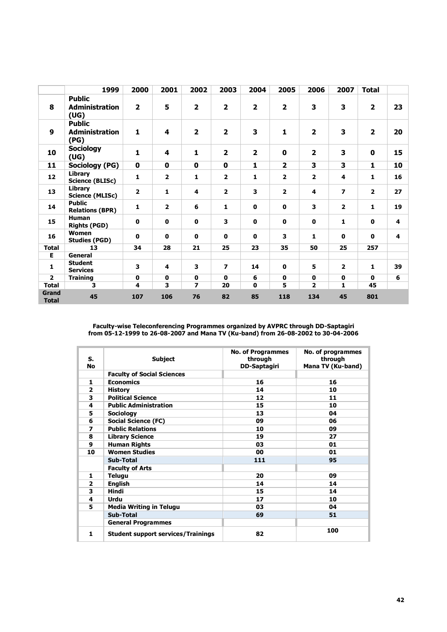|                              | 1999                                           | 2000           | 2001                    | 2002                     | 2003                    | 2004                    | 2005                    | 2006                    | 2007                    | <b>Total</b>            |    |
|------------------------------|------------------------------------------------|----------------|-------------------------|--------------------------|-------------------------|-------------------------|-------------------------|-------------------------|-------------------------|-------------------------|----|
| 8                            | <b>Public</b><br><b>Administration</b><br>(UG) | $\overline{2}$ | 5                       | $\overline{\mathbf{2}}$  | $\overline{\mathbf{2}}$ | $\overline{\mathbf{2}}$ | $\overline{\mathbf{2}}$ | $\mathbf{3}$            | 3                       | $\mathbf{2}$            | 23 |
| 9                            | <b>Public</b><br><b>Administration</b><br>(PG) | $\mathbf{1}$   | 4                       | $\overline{2}$           | $\overline{\mathbf{2}}$ | 3                       | $\mathbf{1}$            | $\overline{\mathbf{2}}$ | 3                       | $\overline{2}$          | 20 |
| 10                           | <b>Sociology</b><br>(UG)                       | $\mathbf{1}$   | 4                       | $\mathbf{1}$             | $\overline{\mathbf{2}}$ | $\overline{\mathbf{2}}$ | $\mathbf{0}$            | $\overline{\mathbf{2}}$ | 3                       | $\mathbf 0$             | 15 |
| 11                           | Sociology (PG)                                 | 0              | 0                       | $\mathbf 0$              | $\mathbf 0$             | 1                       | $\mathbf{2}$            | 3                       | 3                       | 1                       | 10 |
| 12                           | Library<br><b>Science (BLISc)</b>              | 1              | $\overline{\mathbf{2}}$ | 1                        | $\mathbf{2}$            | $\mathbf{1}$            | $\mathbf{2}$            | $\overline{\mathbf{2}}$ | 4                       | $\mathbf{1}$            | 16 |
| 13                           | Library<br><b>Science (MLISc)</b>              | $\overline{2}$ | $\mathbf{1}$            | 4                        | $\overline{2}$          | 3                       | $\overline{2}$          | 4                       | $\overline{\mathbf{z}}$ | $\overline{\mathbf{2}}$ | 27 |
| 14                           | <b>Public</b><br><b>Relations (BPR)</b>        | 1              | $\overline{\mathbf{2}}$ | 6                        | 1                       | $\mathbf 0$             | $\mathbf 0$             | 3                       | $\overline{2}$          | 1                       | 19 |
| 15                           | <b>Human</b><br><b>Rights (PGD)</b>            | $\mathbf 0$    | $\mathbf{0}$            | $\mathbf{0}$             | 3                       | $\mathbf 0$             | $\mathbf 0$             | $\mathbf 0$             | 1                       | $\mathbf 0$             | 4  |
| 16                           | Women<br><b>Studies (PGD)</b>                  | $\mathbf 0$    | $\mathbf{0}$            | $\mathbf 0$              | $\mathbf{0}$            | $\mathbf{0}$            | 3                       | 1                       | $\mathbf 0$             | $\mathbf 0$             | 4  |
| Total                        | 13                                             | 34             | 28                      | 21                       | 25                      | 23                      | 35                      | 50                      | 25                      | 257                     |    |
| Е                            | General                                        |                |                         |                          |                         |                         |                         |                         |                         |                         |    |
| 1                            | <b>Student</b><br><b>Services</b>              | 3              | 4                       | 3                        | $\overline{ }$          | 14                      | $\mathbf 0$             | 5                       | $\overline{2}$          | $\mathbf{1}$            | 39 |
| $\overline{2}$               | <b>Training</b>                                | $\mathbf 0$    | $\mathbf 0$             | $\mathbf 0$              | $\mathbf{0}$            | 6                       | $\mathbf 0$             | $\mathbf 0$             | $\mathbf 0$             | $\mathbf 0$             | 6  |
| <b>Total</b>                 | 3                                              | 4              | 3                       | $\overline{\phantom{a}}$ | 20                      | $\mathbf 0$             | 5                       | $\overline{2}$          | 1                       | 45                      |    |
| <b>Grand</b><br><b>Total</b> | 45                                             | 107            | 106                     | 76                       | 82                      | 85                      | 118                     | 134                     | 45                      | 801                     |    |

**Faculty-wise Teleconferencing Programmes organized by AVPRC through DD-Saptagiri from 05-12-1999 to 26-08-2007 and Mana TV (Ku-band) from 26-08-2002 to 30-04-2006**

| S.<br>No                | <b>Subject</b>                            | <b>No. of Programmes</b><br>through<br><b>DD-Saptagiri</b> | No. of programmes<br>through<br>Mana TV (Ku-band) |
|-------------------------|-------------------------------------------|------------------------------------------------------------|---------------------------------------------------|
|                         | <b>Faculty of Social Sciences</b>         |                                                            |                                                   |
| 1                       | <b>Economics</b>                          | 16                                                         | 16                                                |
| $\overline{\mathbf{2}}$ | History                                   | 14                                                         | 10                                                |
| 3                       | <b>Political Science</b>                  | 12                                                         | 11                                                |
| 4                       | <b>Public Administration</b>              | 15                                                         | 10                                                |
| 5                       | <b>Sociology</b>                          | 13                                                         | 04                                                |
| 6                       | <b>Social Science (FC)</b>                | 09                                                         | 06                                                |
| 7                       | <b>Public Relations</b>                   | 10                                                         | 09                                                |
| 8                       | <b>Library Science</b>                    | 19                                                         | 27                                                |
| 9                       | <b>Human Rights</b>                       | 03                                                         | 01                                                |
| 10                      | <b>Women Studies</b>                      | 00                                                         | 01                                                |
|                         | <b>Sub-Total</b>                          | 111                                                        | 95                                                |
|                         | <b>Faculty of Arts</b>                    |                                                            |                                                   |
| 1                       | <b>Telugu</b>                             | 20                                                         | 09                                                |
| $\overline{2}$          | English                                   | 14                                                         | 14                                                |
| 3                       | <b>Hindi</b>                              | 15                                                         | 14                                                |
| 4                       | Urdu                                      | 17                                                         | 10                                                |
| 5                       | <b>Media Writing in Telugu</b>            | 03                                                         | 04                                                |
|                         | Sub-Total                                 | 69                                                         | 51                                                |
|                         | <b>General Programmes</b>                 |                                                            |                                                   |
| $\mathbf{1}$            | <b>Student support services/Trainings</b> | 82                                                         | 100                                               |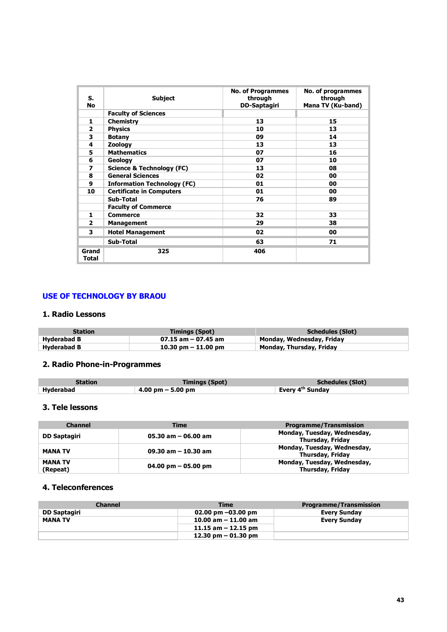| S.<br><b>No</b> | <b>Subject</b>                       | <b>No. of Programmes</b><br>through<br>DD-Saptagiri | No. of programmes<br>through<br>Mana TV (Ku-band) |
|-----------------|--------------------------------------|-----------------------------------------------------|---------------------------------------------------|
|                 | <b>Faculty of Sciences</b>           |                                                     |                                                   |
| 1               | <b>Chemistry</b>                     | 13                                                  | 15                                                |
| $\mathbf{z}$    | <b>Physics</b>                       | 10                                                  | 13                                                |
| 3               | <b>Botany</b>                        | 09                                                  | 14                                                |
| 4               | Zoology                              | 13                                                  | 13                                                |
| 5               | <b>Mathematics</b>                   | 07                                                  | 16                                                |
| 6               | Geology                              | 07                                                  | 10                                                |
| 7               | <b>Science &amp; Technology (FC)</b> | 13                                                  | 08                                                |
| 8               | <b>General Sciences</b>              | 02                                                  | 00                                                |
| 9               | <b>Information Technology (FC)</b>   | 01                                                  | 00                                                |
| 10              | <b>Certificate in Computers</b>      | 01                                                  | 00                                                |
|                 | Sub-Total                            | 76                                                  | 89                                                |
|                 | <b>Faculty of Commerce</b>           |                                                     |                                                   |
| 1.              | <b>Commerce</b>                      | 32                                                  | 33                                                |
| $\overline{2}$  | Management                           | 29                                                  | 38                                                |
| 3               | <b>Hotel Management</b>              | 02                                                  | 00                                                |
|                 | <b>Sub-Total</b>                     | 63                                                  | 71                                                |
| Grand<br>Total  | 325                                  | 406                                                 |                                                   |

# **USE OF TECHNOLOGY BY BRAOU**

# **1. Radio Lessons**

| <b>Station</b> | <b>Timings (Spot)</b> | <b>Schedules (Slot)</b>   |
|----------------|-----------------------|---------------------------|
| Hyderabad B    | $07.15$ am - 07.45 am | Monday, Wednesday, Friday |
| Hyderabad B    | 10.30 pm $-$ 11.00 pm | Monday, Thursday, Friday  |

# **2. Radio Phone-in-Programmes**

| <b>Station</b> | <b>Timings (Spot)</b>               | Schedules (Slot)             |
|----------------|-------------------------------------|------------------------------|
| Hyderabad      | $4.00 \text{ pm} - 5.00 \text{ pm}$ | Every 4 <sup>th</sup> Sundav |

# **3. Tele lessons**

| <b>Channel</b>             | <b>Time</b>            | <b>Programme/Transmission</b>                          |
|----------------------------|------------------------|--------------------------------------------------------|
| DD Saptagiri               | $05.30$ am $-06.00$ am | Monday, Tuesday, Wednesday,<br>Thursday, Friday        |
| <b>MANA TV</b>             | 09.30 am $-$ 10.30 am  | Monday, Tuesday, Wednesday,<br><b>Thursday, Friday</b> |
| <b>MANA TV</b><br>(Repeat) | 04.00 pm $-$ 05.00 pm  | Monday, Tuesday, Wednesday,<br>Thursday, Friday        |

# **4. Teleconferences**

| <b>Channel</b>      | Time                   | <b>Programme/Transmission</b> |
|---------------------|------------------------|-------------------------------|
| <b>DD Saptagiri</b> | 02.00 pm $-03.00$ pm   | <b>Every Sunday</b>           |
| <b>MANA TV</b>      | $10.00$ am $-11.00$ am | <b>Every Sunday</b>           |
|                     | 11.15 am $-$ 12.15 pm  |                               |
|                     | 12.30 pm $-$ 01.30 pm  |                               |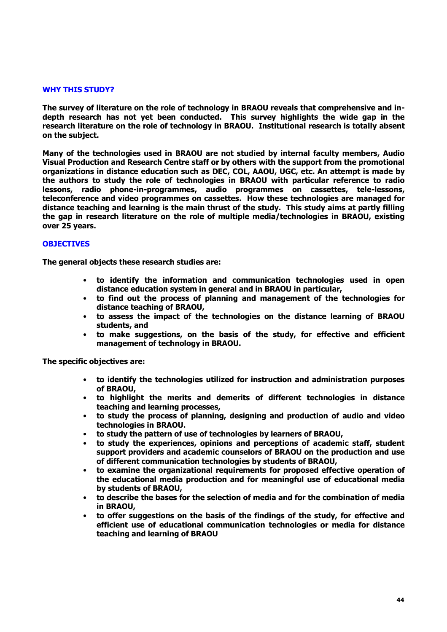### **WHY THIS STUDY?**

**The survey of literature on the role of technology in BRAOU reveals that comprehensive and indepth research has not yet been conducted. This survey highlights the wide gap in the research literature on the role of technology in BRAOU. Institutional research is totally absent on the subject.** 

**Many of the technologies used in BRAOU are not studied by internal faculty members, Audio Visual Production and Research Centre staff or by others with the support from the promotional organizations in distance education such as DEC, COL, AAOU, UGC, etc. An attempt is made by the authors to study the role of technologies in BRAOU with particular reference to radio lessons, radio phone-in-programmes, audio programmes on cassettes, tele-lessons, teleconference and video programmes on cassettes. How these technologies are managed for distance teaching and learning is the main thrust of the study. This study aims at partly filling the gap in research literature on the role of multiple media/technologies in BRAOU, existing over 25 years.**

# **OBJECTIVES**

**The general objects these research studies are:**

- **to identify the information and communication technologies used in open distance education system in general and in BRAOU in particular,**
- **to find out the process of planning and management of the technologies for distance teaching of BRAOU,**
- **to assess the impact of the technologies on the distance learning of BRAOU students, and**
- **to make suggestions, on the basis of the study, for effective and efficient management of technology in BRAOU.**

**The specific objectives are:**

- **to identify the technologies utilized for instruction and administration purposes of BRAOU,**
- **to highlight the merits and demerits of different technologies in distance teaching and learning processes,**
- **to study the process of planning, designing and production of audio and video technologies in BRAOU.**
- **to study the pattern of use of technologies by learners of BRAOU,**
- **to study the experiences, opinions and perceptions of academic staff, student support providers and academic counselors of BRAOU on the production and use of different communication technologies by students of BRAOU,**
- **to examine the organizational requirements for proposed effective operation of the educational media production and for meaningful use of educational media by students of BRAOU,**
- **to describe the bases for the selection of media and for the combination of media in BRAOU,**
- **to offer suggestions on the basis of the findings of the study, for effective and efficient use of educational communication technologies or media for distance teaching and learning of BRAOU**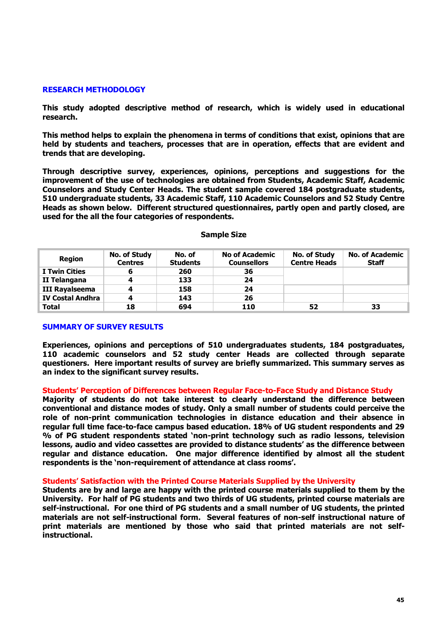#### **RESEARCH METHODOLOGY**

**This study adopted descriptive method of research, which is widely used in educational research.** 

**This method helps to explain the phenomena in terms of conditions that exist, opinions that are held by students and teachers, processes that are in operation, effects that are evident and trends that are developing.** 

**Through descriptive survey, experiences, opinions, perceptions and suggestions for the improvement of the use of technologies are obtained from Students, Academic Staff, Academic Counselors and Study Center Heads. The student sample covered 184 postgraduate students, 510 undergraduate students, 33 Academic Staff, 110 Academic Counselors and 52 Study Centre Heads as shown below. Different structured questionnaires, partly open and partly closed, are used for the all the four categories of respondents.** 

| <b>Region</b>           | No. of Study<br><b>Centres</b> | No. of<br><b>Students</b> | <b>No of Academic</b><br><b>Counsellors</b> | <b>No. of Study</b><br><b>Centre Heads</b> | No. of Academic<br>Staff |
|-------------------------|--------------------------------|---------------------------|---------------------------------------------|--------------------------------------------|--------------------------|
| I Twin Cities           | 6                              | 260                       | 36                                          |                                            |                          |
| II Telangana            | 4                              | 133                       | 24                                          |                                            |                          |
| III Rayalseema          | 4                              | 158                       | 24                                          |                                            |                          |
| <b>IV Costal Andhra</b> | 4                              | 143                       | 26                                          |                                            |                          |
| <b>Total</b>            | 18                             | 694                       | 110                                         | 52                                         | 33                       |

#### **Sample Size**

#### **SUMMARY OF SURVEY RESULTS**

**Experiences, opinions and perceptions of 510 undergraduates students, 184 postgraduates, 110 academic counselors and 52 study center Heads are collected through separate questioners. Here important results of survey are briefly summarized. This summary serves as an index to the significant survey results.** 

#### **Students' Perception of Differences between Regular Face-to-Face Study and Distance Study**

**Majority of students do not take interest to clearly understand the difference between conventional and distance modes of study. Only a small number of students could perceive the role of non-print communication technologies in distance education and their absence in regular full time face-to-face campus based education. 18% of UG student respondents and 29 % of PG student respondents stated 'non-print technology such as radio lessons, television lessons, audio and video cassettes are provided to distance students' as the difference between regular and distance education. One major difference identified by almost all the student respondents is the 'non-requirement of attendance at class rooms'.**

#### **Students' Satisfaction with the Printed Course Materials Supplied by the University**

**Students are by and large are happy with the printed course materials supplied to them by the University. For half of PG students and two thirds of UG students, printed course materials are self-instructional. For one third of PG students and a small number of UG students, the printed materials are not self-instructional form. Several features of non-self instructional nature of print materials are mentioned by those who said that printed materials are not selfinstructional.**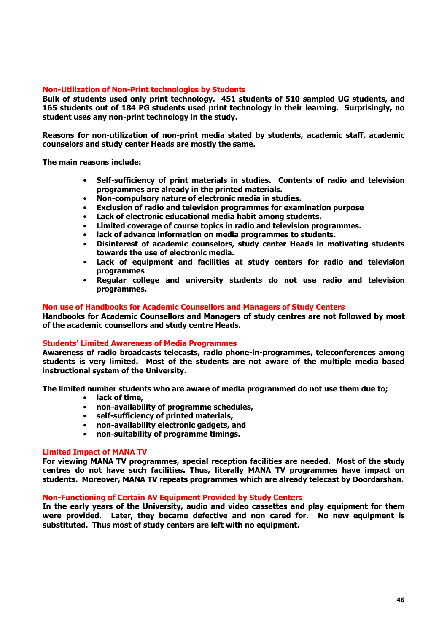# **Non-Utilization of Non-Print technologies by Students**

**Bulk of students used only print technology. 451 students of 510 sampled UG students, and 165 students out of 184 PG students used print technology in their learning. Surprisingly, no student uses any non-print technology in the study.** 

**Reasons for non-utilization of non-print media stated by students, academic staff, academic counselors and study center Heads are mostly the same.** 

**The main reasons include:**

- **Self-sufficiency of print materials in studies. Contents of radio and television programmes are already in the printed materials.**
- **Non-compulsory nature of electronic media in studies.**
- **Exclusion of radio and television programmes for examination purpose**
- **Lack of electronic educational media habit among students.**
- **Limited coverage of course topics in radio and television programmes.**
- **lack of advance information on media programmes to students.**
- **Disinterest of academic counselors, study center Heads in motivating students towards the use of electronic media.**
- **Lack of equipment and facilities at study centers for radio and television programmes**
- **Regular college and university students do not use radio and television programmes.**

#### **Non use of Handbooks for Academic Counsellors and Managers of Study Centers**

**Handbooks for Academic Counsellors and Managers of study centres are not followed by most of the academic counsellors and study centre Heads.**

#### **Students' Limited Awareness of Media Programmes**

**Awareness of radio broadcasts telecasts, radio phone-in-programmes, teleconferences among students is very limited. Most of the students are not aware of the multiple media based instructional system of the University.** 

**The limited number students who are aware of media programmed do not use them due to;**

- **lack of time,**
- **non-availability of programme schedules,**
- **self-sufficiency of printed materials,**
- **non-availability electronic gadgets, and**
- **non-suitability of programme timings.**

#### **Limited Impact of MANA TV**

**For viewing MANA TV programmes, special reception facilities are needed. Most of the study centres do not have such facilities. Thus, literally MANA TV programmes have impact on students. Moreover, MANA TV repeats programmes which are already telecast by Doordarshan.**

### **Non-Functioning of Certain AV Equipment Provided by Study Centers**

**In the early years of the University, audio and video cassettes and play equipment for them were provided. Later, they became defective and non cared for. No new equipment is substituted. Thus most of study centers are left with no equipment.**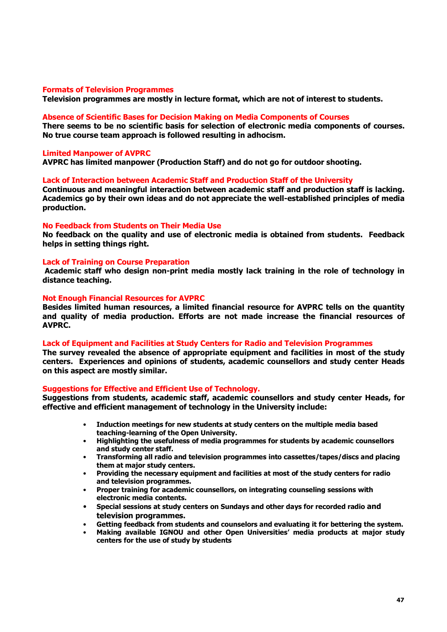#### **Formats of Television Programmes**

**Television programmes are mostly in lecture format, which are not of interest to students.**

#### **Absence of Scientific Bases for Decision Making on Media Components of Courses**

**There seems to be no scientific basis for selection of electronic media components of courses. No true course team approach is followed resulting in adhocism.**

#### **Limited Manpower of AVPRC**

**AVPRC has limited manpower (Production Staff) and do not go for outdoor shooting.**

#### **Lack of Interaction between Academic Staff and Production Staff of the University**

**Continuous and meaningful interaction between academic staff and production staff is lacking. Academics go by their own ideas and do not appreciate the well-established principles of media production.**

#### **No Feedback from Students on Their Media Use**

**No feedback on the quality and use of electronic media is obtained from students. Feedback helps in setting things right.**

## **Lack of Training on Course Preparation**

**Academic staff who design non-print media mostly lack training in the role of technology in distance teaching.**

#### **Not Enough Financial Resources for AVPRC**

**Besides limited human resources, a limited financial resource for AVPRC tells on the quantity and quality of media production. Efforts are not made increase the financial resources of AVPRC.**

#### **Lack of Equipment and Facilities at Study Centers for Radio and Television Programmes**

**The survey revealed the absence of appropriate equipment and facilities in most of the study centers. Experiences and opinions of students, academic counsellors and study center Heads on this aspect are mostly similar.**

#### **Suggestions for Effective and Efficient Use of Technology.**

**Suggestions from students, academic staff, academic counsellors and study center Heads, for effective and efficient management of technology in the University include:**

- **Induction meetings for new students at study centers on the multiple media based teaching-learning of the Open University.**
- **Highlighting the usefulness of media programmes for students by academic counsellors and study center staff.**
- **Transforming all radio and television programmes into cassettes/tapes/discs and placing them at major study centers.**
- **Providing the necessary equipment and facilities at most of the study centers for radio and television programmes.**
- **Proper training for academic counsellors, on integrating counseling sessions with electronic media contents.**
- **Special sessions at study centers on Sundays and other days for recorded radio and television programmes.**
- **Getting feedback from students and counselors and evaluating it for bettering the system.**
- **Making available IGNOU and other Open Universities' media products at major study centers for the use of study by students**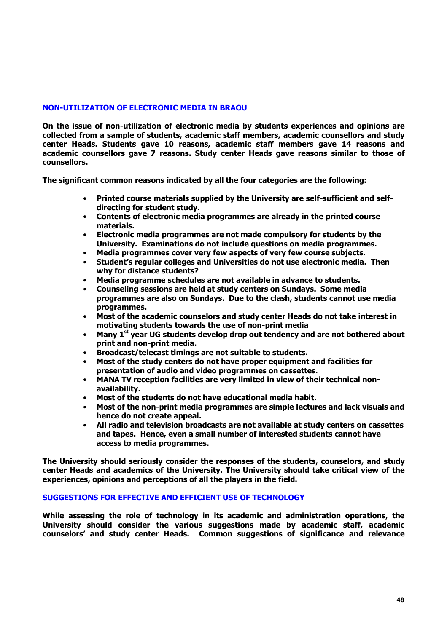# **NON-UTILIZATION OF ELECTRONIC MEDIA IN BRAOU**

**On the issue of non-utilization of electronic media by students experiences and opinions are collected from a sample of students, academic staff members, academic counsellors and study center Heads. Students gave 10 reasons, academic staff members gave 14 reasons and academic counsellors gave 7 reasons. Study center Heads gave reasons similar to those of counsellors.** 

**The significant common reasons indicated by all the four categories are the following:**

- **Printed course materials supplied by the University are self-sufficient and selfdirecting for student study.**
- **Contents of electronic media programmes are already in the printed course materials.**
- **Electronic media programmes are not made compulsory for students by the University. Examinations do not include questions on media programmes.**
- **Media programmes cover very few aspects of very few course subjects.**
- **Student's regular colleges and Universities do not use electronic media. Then why for distance students?**
- **Media programme schedules are not available in advance to students.**
- **Counseling sessions are held at study centers on Sundays. Some media programmes are also on Sundays. Due to the clash, students cannot use media programmes.**
- **Most of the academic counselors and study center Heads do not take interest in motivating students towards the use of non-print media**
- **Many 1st year UG students develop drop out tendency and are not bothered about print and non-print media.**
- **Broadcast/telecast timings are not suitable to students.**
- **Most of the study centers do not have proper equipment and facilities for presentation of audio and video programmes on cassettes.**
- **MANA TV reception facilities are very limited in view of their technical nonavailability.**
- **Most of the students do not have educational media habit.**
- **Most of the non-print media programmes are simple lectures and lack visuals and hence do not create appeal.**
- **All radio and television broadcasts are not available at study centers on cassettes and tapes. Hence, even a small number of interested students cannot have access to media programmes.**

**The University should seriously consider the responses of the students, counselors, and study center Heads and academics of the University. The University should take critical view of the experiences, opinions and perceptions of all the players in the field.**

## **SUGGESTIONS FOR EFFECTIVE AND EFFICIENT USE OF TECHNOLOGY**

**While assessing the role of technology in its academic and administration operations, the University should consider the various suggestions made by academic staff, academic counselors' and study center Heads. Common suggestions of significance and relevance**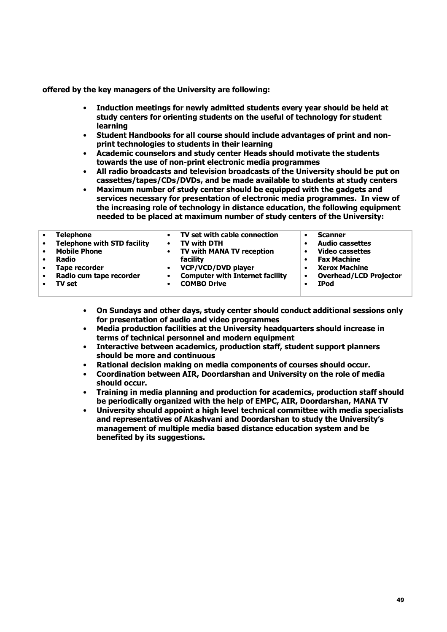**offered by the key managers of the University are following:**

- **Induction meetings for newly admitted students every year should be held at study centers for orienting students on the useful of technology for student learning**
- **Student Handbooks for all course should include advantages of print and nonprint technologies to students in their learning**
- **Academic counselors and study center Heads should motivate the students towards the use of non-print electronic media programmes**
- **All radio broadcasts and television broadcasts of the University should be put on cassettes/tapes/CDs/DVDs, and be made available to students at study centers**
- **Maximum number of study center should be equipped with the gadgets and services necessary for presentation of electronic media programmes. In view of the increasing role of technology in distance education, the following equipment needed to be placed at maximum number of study centers of the University:**

- **On Sundays and other days, study center should conduct additional sessions only for presentation of audio and video programmes**
- **Media production facilities at the University headquarters should increase in terms of technical personnel and modern equipment**
- **Interactive between academics, production staff, student support planners should be more and continuous**
- **Rational decision making on media components of courses should occur.**
- **Coordination between AIR, Doordarshan and University on the role of media should occur.**
- **Training in media planning and production for academics, production staff should be periodically organized with the help of EMPC, AIR, Doordarshan, MANA TV**
- **University should appoint a high level technical committee with media specialists and representatives of Akashvani and Doordarshan to study the University's management of multiple media based distance education system and be benefited by its suggestions.**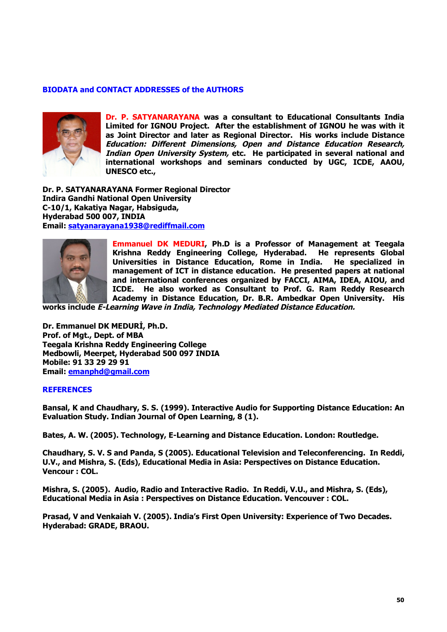## **BIODATA and CONTACT ADDRESSES of the AUTHORS**



**Dr. P. SATYANARAYANA was a consultant to Educational Consultants India Limited for IGNOU Project. After the establishment of IGNOU he was with it as Joint Director and later as Regional Director. His works include Distance** *Education: Different Dimensions, Open and Distance Education Research, Indian Open University System,* **etc. He participated in several national and international workshops and seminars conducted by UGC, ICDE, AAOU, UNESCO etc.,** 

**Dr. P. SATYANARAYANA Former Regional Director Indira Gandhi National Open University C-10/1, Kakatiya Nagar, Habsiguda, Hyderabad 500 007, INDIA Email: satyanarayana1938@rediffmail.com**



**Emmanuel DK MEDURI, Ph.D is a Professor of Management at Teegala Krishna Reddy Engineering College, Hyderabad. He represents Global Universities in Distance Education, Rome in India. He specialized in management of ICT in distance education. He presented papers at national and international conferences organized by FACCI, AIMA, IDEA, AIOU, and ICDE. He also worked as Consultant to Prof. G. Ram Reddy Research Academy in Distance Education, Dr. B.R. Ambedkar Open University. His** 

**works include** *E-Learning Wave in India, Technology Mediated Distance Education.*

**Dr. Emmanuel DK MEDURİ, Ph.D. Prof. of Mgt., Dept. of MBA Teegala Krishna Reddy Engineering College Medbowli, Meerpet, Hyderabad 500 097 INDIA Mobile: 91 33 29 29 91 Email: emanphd@gmail.com**

#### **REFERENCES**

**Bansal, K and Chaudhary, S. S. (1999). Interactive Audio for Supporting Distance Education: An Evaluation Study. Indian Journal of Open Learning, 8 (1).**

**Bates, A. W. (2005). Technology, E-Learning and Distance Education. London: Routledge.**

**Chaudhary, S. V. S and Panda, S (2005). Educational Television and Teleconferencing. In Reddi, U.V., and Mishra, S. (Eds), Educational Media in Asia: Perspectives on Distance Education. Vencour : COL.**

**Mishra, S. (2005). Audio, Radio and Interactive Radio. In Reddi, V.U., and Mishra, S. (Eds), Educational Media in Asia : Perspectives on Distance Education. Vencouver : COL.**

**Prasad, V and Venkaiah V. (2005). India's First Open University: Experience of Two Decades. Hyderabad: GRADE, BRAOU.**